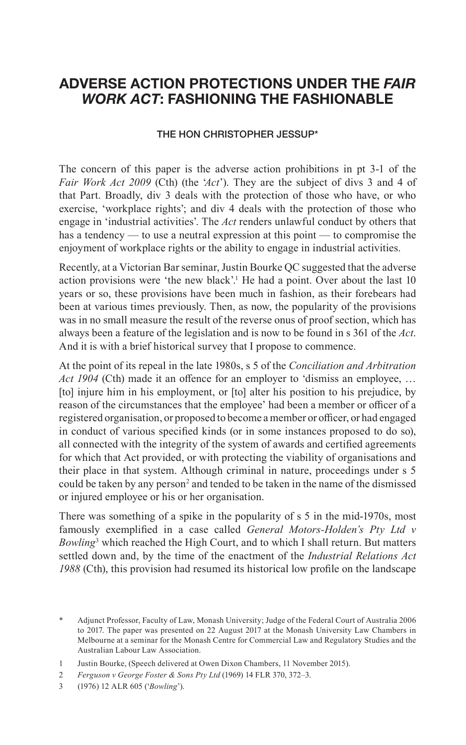## **ADVERSE ACTION PROTECTIONS UNDER THE** *FAIR WORK ACT***: FASHIONING THE FASHIONABLE**

## THE HON CHRISTOPHER JESSUP\*

The concern of this paper is the adverse action prohibitions in pt 3-1 of the *Fair Work Act 2009* (Cth) (the '*Act*'). They are the subject of divs 3 and 4 of that Part. Broadly, div 3 deals with the protection of those who have, or who exercise, 'workplace rights'; and div 4 deals with the protection of those who engage in 'industrial activities'. The *Act* renders unlawful conduct by others that has a tendency — to use a neutral expression at this point — to compromise the enjoyment of workplace rights or the ability to engage in industrial activities.

Recently, at a Victorian Bar seminar, Justin Bourke QC suggested that the adverse action provisions were 'the new black'.<sup>1</sup> He had a point. Over about the last 10 years or so, these provisions have been much in fashion, as their forebears had been at various times previously. Then, as now, the popularity of the provisions was in no small measure the result of the reverse onus of proof section, which has always been a feature of the legislation and is now to be found in s 361 of the *Act*. And it is with a brief historical survey that I propose to commence.

At the point of its repeal in the late 1980s, s 5 of the *Conciliation and Arbitration Act 1904* (Cth) made it an offence for an employer to 'dismiss an employee, … [to] injure him in his employment, or [to] alter his position to his prejudice, by reason of the circumstances that the employee' had been a member or officer of a registered organisation, or proposed to become a member or officer, or had engaged in conduct of various specified kinds (or in some instances proposed to do so), all connected with the integrity of the system of awards and certified agreements for which that Act provided, or with protecting the viability of organisations and their place in that system. Although criminal in nature, proceedings under s 5 could be taken by any person<sup>2</sup> and tended to be taken in the name of the dismissed or injured employee or his or her organisation.

There was something of a spike in the popularity of s 5 in the mid-1970s, most famously exemplified in a case called *General Motors-Holden's Pty Ltd v Bowling*<sup>3</sup> which reached the High Court, and to which I shall return. But matters settled down and, by the time of the enactment of the *Industrial Relations Act 1988* (Cth), this provision had resumed its historical low profile on the landscape

<sup>\*</sup> Adjunct Professor, Faculty of Law, Monash University; Judge of the Federal Court of Australia 2006 to 2017. The paper was presented on 22 August 2017 at the Monash University Law Chambers in Melbourne at a seminar for the Monash Centre for Commercial Law and Regulatory Studies and the Australian Labour Law Association.

<sup>1</sup> Justin Bourke, (Speech delivered at Owen Dixon Chambers, 11 November 2015).

<sup>2</sup> *Ferguson v George Foster & Sons Pty Ltd* (1969) 14 FLR 370, 372–3.

<sup>3</sup> (1976) 12 ALR 605 ('*Bowling*').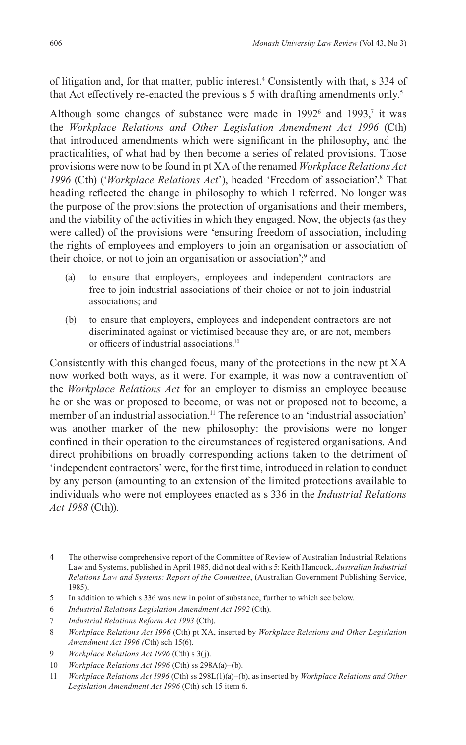of litigation and, for that matter, public interest.4 Consistently with that, s 334 of that Act effectively re-enacted the previous  $s$  5 with drafting amendments only.<sup>5</sup>

Although some changes of substance were made in  $1992^6$  and  $1993^7$ , it was the *Workplace Relations and Other Legislation Amendment Act 1996* (Cth) that introduced amendments which were significant in the philosophy, and the practicalities, of what had by then become a series of related provisions. Those provisions were now to be found in pt XA of the renamed *Workplace Relations Act 1996* (Cth) ('*Workplace Relations Act*'), headed 'Freedom of association'.8 That heading reflected the change in philosophy to which I referred. No longer was the purpose of the provisions the protection of organisations and their members, and the viability of the activities in which they engaged. Now, the objects (as they were called) of the provisions were 'ensuring freedom of association, including the rights of employees and employers to join an organisation or association of their choice, or not to join an organisation or association';<sup>9</sup> and

- (a) to ensure that employers, employees and independent contractors are free to join industrial associations of their choice or not to join industrial associations; and
- (b) to ensure that employers, employees and independent contractors are not discriminated against or victimised because they are, or are not, members or officers of industrial associations.<sup>10</sup>

Consistently with this changed focus, many of the protections in the new pt XA now worked both ways, as it were. For example, it was now a contravention of the *Workplace Relations Act* for an employer to dismiss an employee because he or she was or proposed to become, or was not or proposed not to become, a member of an industrial association.<sup>11</sup> The reference to an 'industrial association' was another marker of the new philosophy: the provisions were no longer confined in their operation to the circumstances of registered organisations. And direct prohibitions on broadly corresponding actions taken to the detriment of 'independent contractors' were, for the first time, introduced in relation to conduct by any person (amounting to an extension of the limited protections available to individuals who were not employees enacted as s 336 in the *Industrial Relations Act 1988* (Cth)).

- 6 *Industrial Relations Legislation Amendment Act 1992* (Cth).
- 7 *Industrial Relations Reform Act 1993* (Cth).
- 8 *Workplace Relations Act 1996* (Cth) pt XA, inserted by *Workplace Relations and Other Legislation Amendment Act 1996 (*Cth) sch 15(6).
- 9 *Workplace Relations Act 1996* (Cth) s 3(j).
- 10 *Workplace Relations Act 1996* (Cth) ss 298A(a)–(b).
- 11 *Workplace Relations Act 1996* (Cth) ss 298L(1)(a)–(b), as inserted by *Workplace Relations and Other Legislation Amendment Act 1996* (Cth) sch 15 item 6.

<sup>4</sup> The otherwise comprehensive report of the Committee of Review of Australian Industrial Relations Law and Systems, published in April 1985, did not deal with s 5: Keith Hancock, *Australian Industrial Relations Law and Systems: Report of the Committee*, (Australian Government Publishing Service, 1985).

<sup>5</sup> In addition to which s 336 was new in point of substance, further to which see below.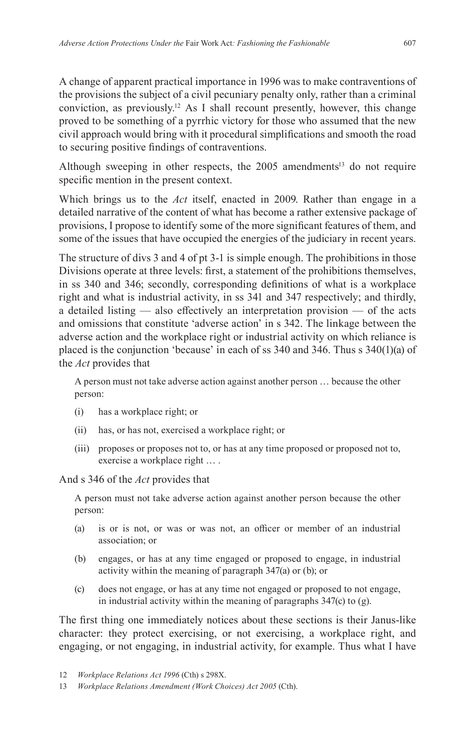A change of apparent practical importance in 1996 was to make contraventions of the provisions the subject of a civil pecuniary penalty only, rather than a criminal conviction, as previously.<sup>12</sup> As I shall recount presently, however, this change proved to be something of a pyrrhic victory for those who assumed that the new civil approach would bring with it procedural simplifications and smooth the road to securing positive findings of contraventions.

Although sweeping in other respects, the  $2005$  amendments<sup>13</sup> do not require specific mention in the present context.

Which brings us to the *Act* itself, enacted in 2009. Rather than engage in a detailed narrative of the content of what has become a rather extensive package of provisions, I propose to identify some of the more significant features of them, and some of the issues that have occupied the energies of the judiciary in recent years.

The structure of divs 3 and 4 of pt 3-1 is simple enough. The prohibitions in those Divisions operate at three levels: first, a statement of the prohibitions themselves, in ss 340 and 346; secondly, corresponding definitions of what is a workplace right and what is industrial activity, in ss 341 and 347 respectively; and thirdly, a detailed listing — also effectively an interpretation provision — of the acts and omissions that constitute 'adverse action' in s 342. The linkage between the adverse action and the workplace right or industrial activity on which reliance is placed is the conjunction 'because' in each of ss 340 and 346. Thus s 340(1)(a) of the *Act* provides that

A person must not take adverse action against another person … because the other person:

- (i) has a workplace right; or
- (ii) has, or has not, exercised a workplace right; or
- (iii) proposes or proposes not to, or has at any time proposed or proposed not to, exercise a workplace right … .

And s 346 of the *Act* provides that

A person must not take adverse action against another person because the other person:

- (a) is or is not, or was or was not, an officer or member of an industrial association; or
- (b) engages, or has at any time engaged or proposed to engage, in industrial activity within the meaning of paragraph 347(a) or (b); or
- (c) does not engage, or has at any time not engaged or proposed to not engage, in industrial activity within the meaning of paragraphs 347(c) to (g).

The first thing one immediately notices about these sections is their Janus-like character: they protect exercising, or not exercising, a workplace right, and engaging, or not engaging, in industrial activity, for example. Thus what I have

<sup>12</sup> *Workplace Relations Act 1996* (Cth) s 298X.

<sup>13</sup> *Workplace Relations Amendment (Work Choices) Act 2005* (Cth).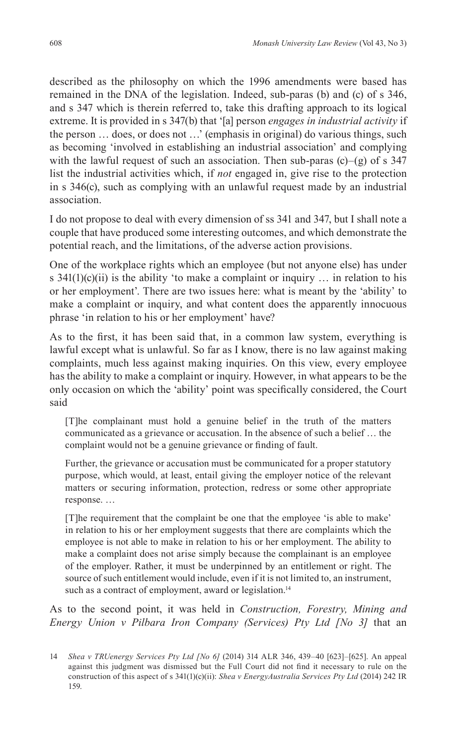described as the philosophy on which the 1996 amendments were based has remained in the DNA of the legislation. Indeed, sub-paras (b) and (c) of s 346, and s 347 which is therein referred to, take this drafting approach to its logical extreme. It is provided in s 347(b) that '[a] person *engages in industrial activity* if the person … does, or does not …' (emphasis in original) do various things, such as becoming 'involved in establishing an industrial association' and complying with the lawful request of such an association. Then sub-paras  $(c)$ – $(g)$  of s 347 list the industrial activities which, if *not* engaged in, give rise to the protection in s 346(c), such as complying with an unlawful request made by an industrial association.

I do not propose to deal with every dimension of ss 341 and 347, but I shall note a couple that have produced some interesting outcomes, and which demonstrate the potential reach, and the limitations, of the adverse action provisions.

One of the workplace rights which an employee (but not anyone else) has under s  $341(1)(c)(ii)$  is the ability 'to make a complaint or inquiry ... in relation to his or her employment'. There are two issues here: what is meant by the 'ability' to make a complaint or inquiry, and what content does the apparently innocuous phrase 'in relation to his or her employment' have?

As to the first, it has been said that, in a common law system, everything is lawful except what is unlawful. So far as I know, there is no law against making complaints, much less against making inquiries. On this view, every employee has the ability to make a complaint or inquiry. However, in what appears to be the only occasion on which the 'ability' point was specifically considered, the Court said

[T]he complainant must hold a genuine belief in the truth of the matters communicated as a grievance or accusation. In the absence of such a belief … the complaint would not be a genuine grievance or finding of fault.

Further, the grievance or accusation must be communicated for a proper statutory purpose, which would, at least, entail giving the employer notice of the relevant matters or securing information, protection, redress or some other appropriate response. …

[T]he requirement that the complaint be one that the employee 'is able to make' in relation to his or her employment suggests that there are complaints which the employee is not able to make in relation to his or her employment. The ability to make a complaint does not arise simply because the complainant is an employee of the employer. Rather, it must be underpinned by an entitlement or right. The source of such entitlement would include, even if it is not limited to, an instrument, such as a contract of employment, award or legislation.<sup>14</sup>

As to the second point, it was held in *Construction, Forestry, Mining and Energy Union v Pilbara Iron Company (Services) Pty Ltd [No 3]* that an

<sup>14</sup> *Shea v TRUenergy Services Pty Ltd [No 6]* (2014) 314 ALR 346, 439–40 [623]–[625]. An appeal against this judgment was dismissed but the Full Court did not find it necessary to rule on the construction of this aspect of s 341(1)(c)(ii): *Shea v EnergyAustralia Services Pty Ltd* (2014) 242 IR 159.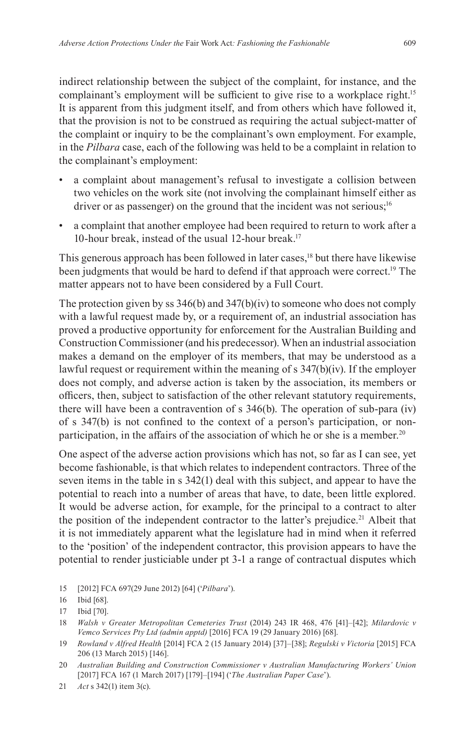indirect relationship between the subject of the complaint, for instance, and the complainant's employment will be sufficient to give rise to a workplace right.<sup>15</sup> It is apparent from this judgment itself, and from others which have followed it, that the provision is not to be construed as requiring the actual subject-matter of the complaint or inquiry to be the complainant's own employment. For example, in the *Pilbara* case, each of the following was held to be a complaint in relation to the complainant's employment:

- a complaint about management's refusal to investigate a collision between two vehicles on the work site (not involving the complainant himself either as driver or as passenger) on the ground that the incident was not serious;<sup>16</sup>
- a complaint that another employee had been required to return to work after a 10-hour break, instead of the usual 12-hour break.<sup>17</sup>

This generous approach has been followed in later cases,<sup>18</sup> but there have likewise been judgments that would be hard to defend if that approach were correct.19 The matter appears not to have been considered by a Full Court.

The protection given by ss 346(b) and 347(b)(iv) to someone who does not comply with a lawful request made by, or a requirement of, an industrial association has proved a productive opportunity for enforcement for the Australian Building and Construction Commissioner (and his predecessor). When an industrial association makes a demand on the employer of its members, that may be understood as a lawful request or requirement within the meaning of s 347(b)(iv). If the employer does not comply, and adverse action is taken by the association, its members or officers, then, subject to satisfaction of the other relevant statutory requirements, there will have been a contravention of s 346(b). The operation of sub-para (iv) of s 347(b) is not confined to the context of a person's participation, or nonparticipation, in the affairs of the association of which he or she is a member.<sup>20</sup>

One aspect of the adverse action provisions which has not, so far as I can see, yet become fashionable, is that which relates to independent contractors. Three of the seven items in the table in s 342(1) deal with this subject, and appear to have the potential to reach into a number of areas that have, to date, been little explored. It would be adverse action, for example, for the principal to a contract to alter the position of the independent contractor to the latter's prejudice.<sup>21</sup> Albeit that it is not immediately apparent what the legislature had in mind when it referred to the 'position' of the independent contractor, this provision appears to have the potential to render justiciable under pt 3-1 a range of contractual disputes which

15 [2012] FCA 697(29 June 2012) [64] ('*Pilbara*').

<sup>16</sup> Ibid [68].

<sup>17</sup> Ibid [70].

<sup>18</sup> *Walsh v Greater Metropolitan Cemeteries Trust* (2014) 243 IR 468, 476 [41]–[42]; *Milardovic v Vemco Services Pty Ltd (admin apptd)* [2016] FCA 19 (29 January 2016) [68].

<sup>19</sup> *Rowland v Alfred Health* [2014] FCA 2 (15 January 2014) [37]–[38]; *Regulski v Victoria* [2015] FCA 206 (13 March 2015) [146].

<sup>20</sup> *Australian Building and Construction Commissioner v Australian Manufacturing Workers' Union*  [2017] FCA 167 (1 March 2017) [179]–[194] ('*The Australian Paper Case*').

<sup>21</sup> *Act* s 342(1) item 3(c).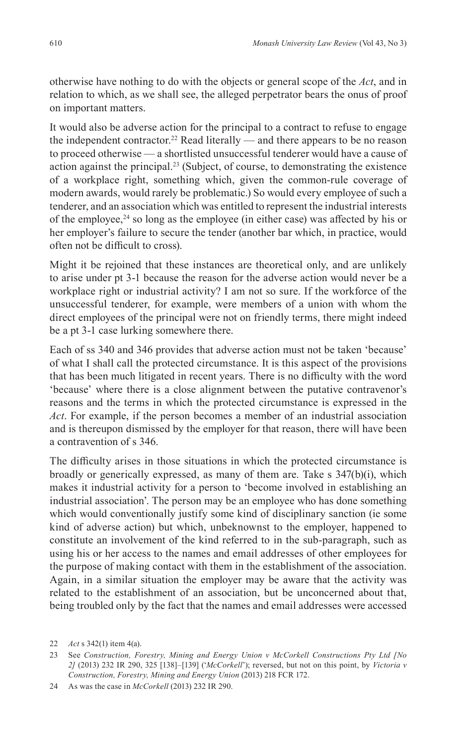otherwise have nothing to do with the objects or general scope of the *Act*, and in relation to which, as we shall see, the alleged perpetrator bears the onus of proof on important matters.

It would also be adverse action for the principal to a contract to refuse to engage the independent contractor.<sup>22</sup> Read literally — and there appears to be no reason to proceed otherwise — a shortlisted unsuccessful tenderer would have a cause of action against the principal.<sup>23</sup> (Subject, of course, to demonstrating the existence of a workplace right, something which, given the common-rule coverage of modern awards, would rarely be problematic.) So would every employee of such a tenderer, and an association which was entitled to represent the industrial interests of the employee, $24$  so long as the employee (in either case) was affected by his or her employer's failure to secure the tender (another bar which, in practice, would often not be difficult to cross).

Might it be rejoined that these instances are theoretical only, and are unlikely to arise under pt 3-1 because the reason for the adverse action would never be a workplace right or industrial activity? I am not so sure. If the workforce of the unsuccessful tenderer, for example, were members of a union with whom the direct employees of the principal were not on friendly terms, there might indeed be a pt 3-1 case lurking somewhere there.

Each of ss 340 and 346 provides that adverse action must not be taken 'because' of what I shall call the protected circumstance. It is this aspect of the provisions that has been much litigated in recent years. There is no difficulty with the word 'because' where there is a close alignment between the putative contravenor's reasons and the terms in which the protected circumstance is expressed in the *Act*. For example, if the person becomes a member of an industrial association and is thereupon dismissed by the employer for that reason, there will have been a contravention of s 346.

The difficulty arises in those situations in which the protected circumstance is broadly or generically expressed, as many of them are. Take s 347(b)(i), which makes it industrial activity for a person to 'become involved in establishing an industrial association'. The person may be an employee who has done something which would conventionally justify some kind of disciplinary sanction (ie some kind of adverse action) but which, unbeknownst to the employer, happened to constitute an involvement of the kind referred to in the sub-paragraph, such as using his or her access to the names and email addresses of other employees for the purpose of making contact with them in the establishment of the association. Again, in a similar situation the employer may be aware that the activity was related to the establishment of an association, but be unconcerned about that, being troubled only by the fact that the names and email addresses were accessed

<sup>22</sup> *Act* s 342(1) item 4(a).

<sup>23</sup> See *Construction, Forestry, Mining and Energy Union v McCorkell Constructions Pty Ltd [No 2]* (2013) 232 IR 290, 325 [138]–[139] ('*McCorkell*'); reversed, but not on this point, by *Victoria v Construction, Forestry, Mining and Energy Union* (2013) 218 FCR 172.

<sup>24</sup> As was the case in *McCorkell* (2013) 232 IR 290.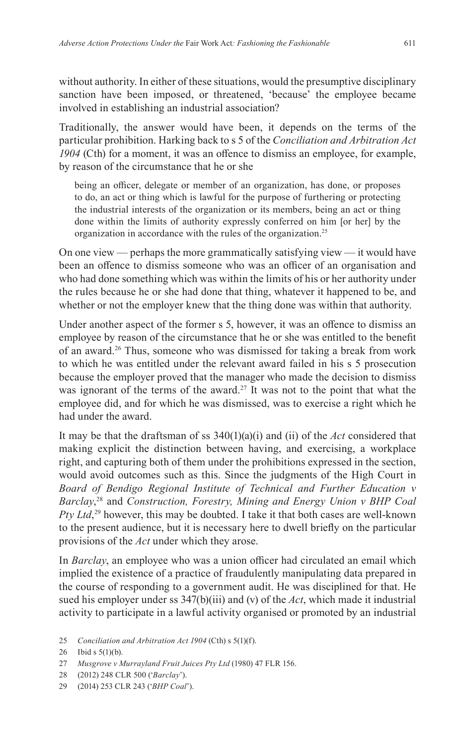without authority. In either of these situations, would the presumptive disciplinary sanction have been imposed, or threatened, 'because' the employee became involved in establishing an industrial association?

Traditionally, the answer would have been, it depends on the terms of the particular prohibition. Harking back to s 5 of the *Conciliation and Arbitration Act 1904* (Cth) for a moment, it was an offence to dismiss an employee, for example, by reason of the circumstance that he or she

being an officer, delegate or member of an organization, has done, or proposes to do, an act or thing which is lawful for the purpose of furthering or protecting the industrial interests of the organization or its members, being an act or thing done within the limits of authority expressly conferred on him [or her] by the organization in accordance with the rules of the organization.<sup>25</sup>

On one view — perhaps the more grammatically satisfying view — it would have been an offence to dismiss someone who was an officer of an organisation and who had done something which was within the limits of his or her authority under the rules because he or she had done that thing, whatever it happened to be, and whether or not the employer knew that the thing done was within that authority.

Under another aspect of the former s 5, however, it was an offence to dismiss an employee by reason of the circumstance that he or she was entitled to the benefit of an award.<sup>26</sup> Thus, someone who was dismissed for taking a break from work to which he was entitled under the relevant award failed in his s 5 prosecution because the employer proved that the manager who made the decision to dismiss was ignorant of the terms of the award.<sup>27</sup> It was not to the point that what the employee did, and for which he was dismissed, was to exercise a right which he had under the award.

It may be that the draftsman of ss 340(1)(a)(i) and (ii) of the *Act* considered that making explicit the distinction between having, and exercising, a workplace right, and capturing both of them under the prohibitions expressed in the section, would avoid outcomes such as this. Since the judgments of the High Court in *Board of Bendigo Regional Institute of Technical and Further Education v Barclay*, 28 and *Construction, Forestry, Mining and Energy Union v BHP Coal Pty Ltd*, 29 however, this may be doubted. I take it that both cases are well-known to the present audience, but it is necessary here to dwell briefly on the particular provisions of the *Act* under which they arose.

In *Barclay*, an employee who was a union officer had circulated an email which implied the existence of a practice of fraudulently manipulating data prepared in the course of responding to a government audit. He was disciplined for that. He sued his employer under ss  $347(b)(iii)$  and (v) of the *Act*, which made it industrial activity to participate in a lawful activity organised or promoted by an industrial

25 *Conciliation and Arbitration Act 1904* (Cth) s 5(1)(f).

- 28 (2012) 248 CLR 500 ('*Barclay*').
- 29 (2014) 253 CLR 243 ('*BHP Coal*').

<sup>26</sup> Ibid s 5(1)(b).

<sup>27</sup> *Musgrove v Murrayland Fruit Juices Pty Ltd* (1980) 47 FLR 156.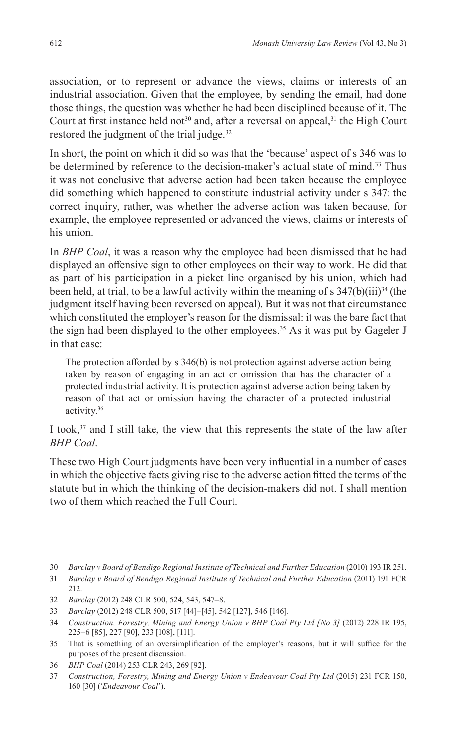association, or to represent or advance the views, claims or interests of an industrial association. Given that the employee, by sending the email, had done those things, the question was whether he had been disciplined because of it. The Court at first instance held not<sup>30</sup> and, after a reversal on appeal,<sup>31</sup> the High Court restored the judgment of the trial judge.<sup>32</sup>

In short, the point on which it did so was that the 'because' aspect of s 346 was to be determined by reference to the decision-maker's actual state of mind.<sup>33</sup> Thus it was not conclusive that adverse action had been taken because the employee did something which happened to constitute industrial activity under s 347: the correct inquiry, rather, was whether the adverse action was taken because, for example, the employee represented or advanced the views, claims or interests of his union.

In *BHP Coal*, it was a reason why the employee had been dismissed that he had displayed an offensive sign to other employees on their way to work. He did that as part of his participation in a picket line organised by his union, which had been held, at trial, to be a lawful activity within the meaning of s  $347(b)(iii)^{34}$  (the judgment itself having been reversed on appeal). But it was not that circumstance which constituted the employer's reason for the dismissal: it was the bare fact that the sign had been displayed to the other employees.<sup>35</sup> As it was put by Gageler J in that case:

The protection afforded by s 346(b) is not protection against adverse action being taken by reason of engaging in an act or omission that has the character of a protected industrial activity. It is protection against adverse action being taken by reason of that act or omission having the character of a protected industrial activity.36

I took,<sup>37</sup> and I still take, the view that this represents the state of the law after *BHP Coal*.

These two High Court judgments have been very influential in a number of cases in which the objective facts giving rise to the adverse action fitted the terms of the statute but in which the thinking of the decision-makers did not. I shall mention two of them which reached the Full Court.

30 *Barclay v Board of Bendigo Regional Institute of Technical and Further Education* (2010) 193 IR 251.

- 32 *Barclay* (2012) 248 CLR 500, 524, 543, 547–8.
- 33 *Barclay* (2012) 248 CLR 500, 517 [44]–[45], 542 [127], 546 [146].
- 34 *Construction, Forestry, Mining and Energy Union v BHP Coal Pty Ltd [No 3]* (2012) 228 IR 195, 225–6 [85], 227 [90], 233 [108], [111].
- 35 That is something of an oversimplification of the employer's reasons, but it will suffice for the purposes of the present discussion.
- 36 *BHP Coal* (2014) 253 CLR 243, 269 [92].
- 37 *Construction, Forestry, Mining and Energy Union v Endeavour Coal Pty Ltd* (2015) 231 FCR 150, 160 [30] ('*Endeavour Coal*').

<sup>31</sup> *Barclay v Board of Bendigo Regional Institute of Technical and Further Education* (2011) 191 FCR 212.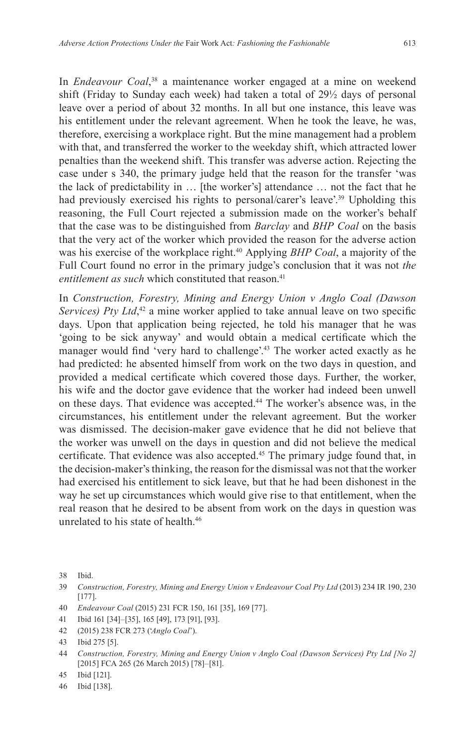In *Endeavour Coal*, 38 a maintenance worker engaged at a mine on weekend shift (Friday to Sunday each week) had taken a total of 29½ days of personal leave over a period of about 32 months. In all but one instance, this leave was his entitlement under the relevant agreement. When he took the leave, he was, therefore, exercising a workplace right. But the mine management had a problem with that, and transferred the worker to the weekday shift, which attracted lower penalties than the weekend shift. This transfer was adverse action. Rejecting the case under s 340, the primary judge held that the reason for the transfer 'was the lack of predictability in … [the worker's] attendance … not the fact that he had previously exercised his rights to personal/carer's leave'.<sup>39</sup> Upholding this reasoning, the Full Court rejected a submission made on the worker's behalf that the case was to be distinguished from *Barclay* and *BHP Coal* on the basis that the very act of the worker which provided the reason for the adverse action was his exercise of the workplace right.<sup>40</sup> Applying *BHP Coal*, a majority of the Full Court found no error in the primary judge's conclusion that it was not *the*  entitlement as such which constituted that reason.<sup>41</sup>

In *Construction, Forestry, Mining and Energy Union v Anglo Coal (Dawson*  Services) Pty Ltd,<sup>42</sup> a mine worker applied to take annual leave on two specific days. Upon that application being rejected, he told his manager that he was 'going to be sick anyway' and would obtain a medical certificate which the manager would find 'very hard to challenge'.<sup>43</sup> The worker acted exactly as he had predicted: he absented himself from work on the two days in question, and provided a medical certificate which covered those days. Further, the worker, his wife and the doctor gave evidence that the worker had indeed been unwell on these days. That evidence was accepted.<sup>44</sup> The worker's absence was, in the circumstances, his entitlement under the relevant agreement. But the worker was dismissed. The decision-maker gave evidence that he did not believe that the worker was unwell on the days in question and did not believe the medical certificate. That evidence was also accepted.<sup>45</sup> The primary judge found that, in the decision-maker's thinking, the reason for the dismissal was not that the worker had exercised his entitlement to sick leave, but that he had been dishonest in the way he set up circumstances which would give rise to that entitlement, when the real reason that he desired to be absent from work on the days in question was unrelated to his state of health.<sup>46</sup>

- 41 Ibid 161 [34]–[35], 165 [49], 173 [91], [93].
- 42 (2015) 238 FCR 273 ('*Anglo Coal*').

<sup>38</sup> Ibid.

<sup>39</sup> *Construction, Forestry, Mining and Energy Union v Endeavour Coal Pty Ltd* (2013) 234 IR 190, 230 [177].

<sup>40</sup> *Endeavour Coal* (2015) 231 FCR 150, 161 [35], 169 [77].

<sup>43</sup> Ibid 275 [5].

<sup>44</sup> *Construction, Forestry, Mining and Energy Union v Anglo Coal (Dawson Services) Pty Ltd [No 2]*  [2015] FCA 265 (26 March 2015) [78]–[81].

<sup>45</sup> Ibid [121].

<sup>46</sup> Ibid [138].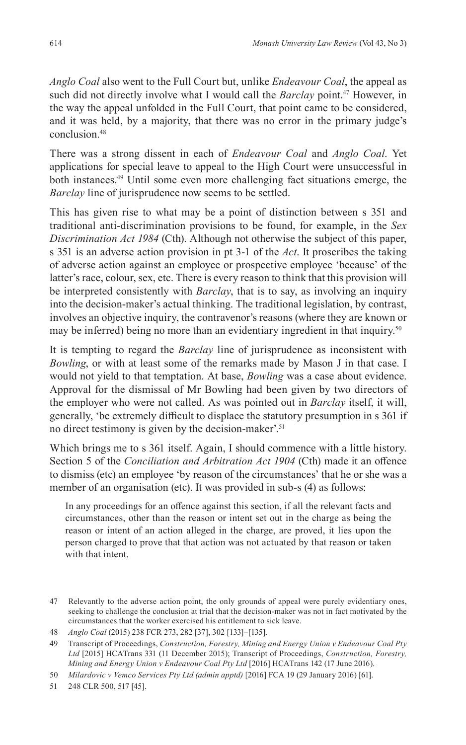*Anglo Coal* also went to the Full Court but, unlike *Endeavour Coal*, the appeal as such did not directly involve what I would call the *Barclay* point.<sup>47</sup> However, in the way the appeal unfolded in the Full Court, that point came to be considered, and it was held, by a majority, that there was no error in the primary judge's conclusion<sup>48</sup>

There was a strong dissent in each of *Endeavour Coal* and *Anglo Coal*. Yet applications for special leave to appeal to the High Court were unsuccessful in both instances.49 Until some even more challenging fact situations emerge, the *Barclay* line of jurisprudence now seems to be settled.

This has given rise to what may be a point of distinction between s 351 and traditional anti-discrimination provisions to be found, for example, in the *Sex Discrimination Act 1984* (Cth). Although not otherwise the subject of this paper, s 351 is an adverse action provision in pt 3-1 of the *Act*. It proscribes the taking of adverse action against an employee or prospective employee 'because' of the latter's race, colour, sex, etc. There is every reason to think that this provision will be interpreted consistently with *Barclay*, that is to say, as involving an inquiry into the decision-maker's actual thinking. The traditional legislation, by contrast, involves an objective inquiry, the contravenor's reasons (where they are known or may be inferred) being no more than an evidentiary ingredient in that inquiry.<sup>50</sup>

It is tempting to regard the *Barclay* line of jurisprudence as inconsistent with *Bowling*, or with at least some of the remarks made by Mason J in that case. I would not yield to that temptation. At base, *Bowling* was a case about evidence. Approval for the dismissal of Mr Bowling had been given by two directors of the employer who were not called. As was pointed out in *Barclay* itself, it will, generally, 'be extremely difficult to displace the statutory presumption in s 361 if no direct testimony is given by the decision-maker'.<sup>51</sup>

Which brings me to s 361 itself. Again, I should commence with a little history. Section 5 of the *Conciliation and Arbitration Act 1904* (Cth) made it an offence to dismiss (etc) an employee 'by reason of the circumstances' that he or she was a member of an organisation (etc). It was provided in sub-s (4) as follows:

In any proceedings for an offence against this section, if all the relevant facts and circumstances, other than the reason or intent set out in the charge as being the reason or intent of an action alleged in the charge, are proved, it lies upon the person charged to prove that that action was not actuated by that reason or taken with that intent.

<sup>47</sup> Relevantly to the adverse action point, the only grounds of appeal were purely evidentiary ones, seeking to challenge the conclusion at trial that the decision-maker was not in fact motivated by the circumstances that the worker exercised his entitlement to sick leave.

<sup>48</sup> *Anglo Coal* (2015) 238 FCR 273, 282 [37], 302 [133]–[135].

<sup>49</sup> Transcript of Proceedings, *Construction, Forestry, Mining and Energy Union v Endeavour Coal Pty Ltd* [2015] HCATrans 331 (11 December 2015); Transcript of Proceedings, *Construction, Forestry, Mining and Energy Union v Endeavour Coal Pty Ltd* [2016] HCATrans 142 (17 June 2016).

<sup>50</sup> *Milardovic v Vemco Services Pty Ltd (admin apptd)* [2016] FCA 19 (29 January 2016) [61].

<sup>51</sup> 248 CLR 500, 517 [45].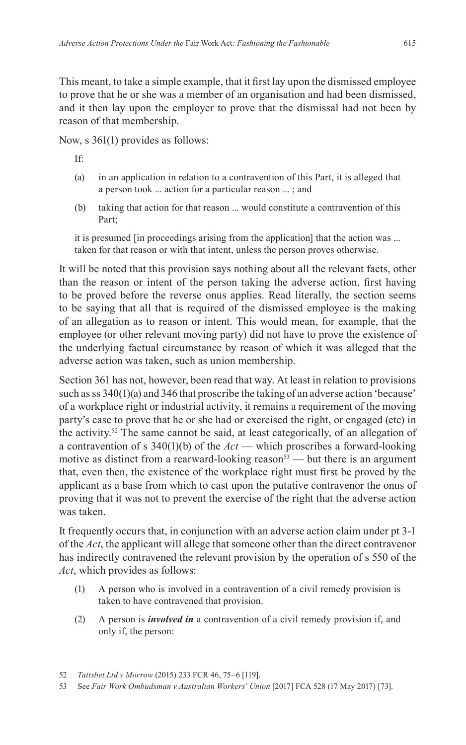This meant, to take a simple example, that it first lay upon the dismissed employee to prove that he or she was a member of an organisation and had been dismissed, and it then lay upon the employer to prove that the dismissal had not been by reason of that membership.

Now, s 361(1) provides as follows:

If:

- (a) in an application in relation to a contravention of this Part, it is alleged that a person took ... action for a particular reason ... ; and
- (b) taking that action for that reason ... would constitute a contravention of this Part;

it is presumed [in proceedings arising from the application] that the action was ... taken for that reason or with that intent, unless the person proves otherwise.

It will be noted that this provision says nothing about all the relevant facts, other than the reason or intent of the person taking the adverse action, first having to be proved before the reverse onus applies. Read literally, the section seems to be saying that all that is required of the dismissed employee is the making of an allegation as to reason or intent. This would mean, for example, that the employee (or other relevant moving party) did not have to prove the existence of the underlying factual circumstance by reason of which it was alleged that the adverse action was taken, such as union membership.

Section 361 has not, however, been read that way. At least in relation to provisions such as ss 340(1)(a) and 346 that proscribe the taking of an adverse action 'because' of a workplace right or industrial activity, it remains a requirement of the moving party's case to prove that he or she had or exercised the right, or engaged (etc) in the activity.52 The same cannot be said, at least categorically, of an allegation of a contravention of s 340(1)(b) of the *Act* — which proscribes a forward-looking motive as distinct from a rearward-looking reason<sup>53</sup> — but there is an argument that, even then, the existence of the workplace right must first be proved by the applicant as a base from which to cast upon the putative contravenor the onus of proving that it was not to prevent the exercise of the right that the adverse action was taken.

It frequently occurs that, in conjunction with an adverse action claim under pt 3-1 of the *Act*, the applicant will allege that someone other than the direct contravenor has indirectly contravened the relevant provision by the operation of s 550 of the *Act*, which provides as follows:

- (1) A person who is involved in a contravention of a civil remedy provision is taken to have contravened that provision.
- (2) A person is *involved in* a contravention of a civil remedy provision if, and only if, the person:

52 *Tattsbet Ltd v Morrow* (2015) 233 FCR 46, 75–6 [119].

<sup>53</sup> See *Fair Work Ombudsman v Australian Workers' Union* [2017] FCA 528 (17 May 2017) [73].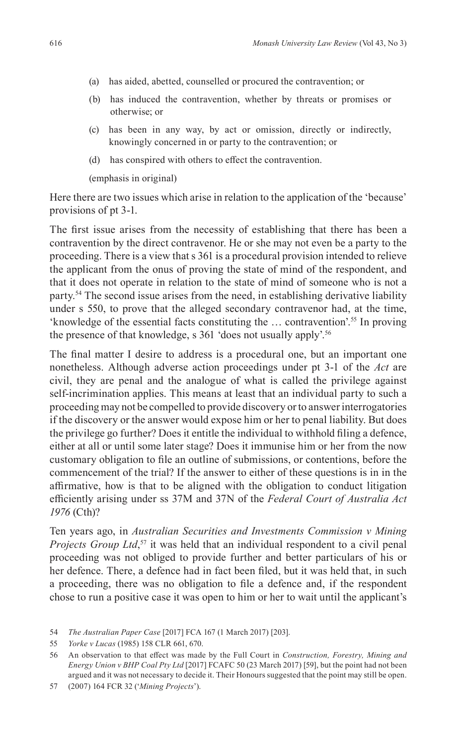- (a) has aided, abetted, counselled or procured the contravention; or
- (b) has induced the contravention, whether by threats or promises or otherwise; or
- (c) has been in any way, by act or omission, directly or indirectly, knowingly concerned in or party to the contravention; or
- (d) has conspired with others to effect the contravention.

(emphasis in original)

Here there are two issues which arise in relation to the application of the 'because' provisions of pt 3-1.

The first issue arises from the necessity of establishing that there has been a contravention by the direct contravenor. He or she may not even be a party to the proceeding. There is a view that s 361 is a procedural provision intended to relieve the applicant from the onus of proving the state of mind of the respondent, and that it does not operate in relation to the state of mind of someone who is not a party.54 The second issue arises from the need, in establishing derivative liability under s 550, to prove that the alleged secondary contravenor had, at the time, 'knowledge of the essential facts constituting the … contravention'.55 In proving the presence of that knowledge, s 361 'does not usually apply'.56

The final matter I desire to address is a procedural one, but an important one nonetheless. Although adverse action proceedings under pt 3-1 of the *Act* are civil, they are penal and the analogue of what is called the privilege against self-incrimination applies. This means at least that an individual party to such a proceeding may not be compelled to provide discovery or to answer interrogatories if the discovery or the answer would expose him or her to penal liability. But does the privilege go further? Does it entitle the individual to withhold filing a defence, either at all or until some later stage? Does it immunise him or her from the now customary obligation to file an outline of submissions, or contentions, before the commencement of the trial? If the answer to either of these questions is in in the affirmative, how is that to be aligned with the obligation to conduct litigation efficiently arising under ss 37M and 37N of the *Federal Court of Australia Act 1976* (Cth)?

Ten years ago, in *Australian Securities and Investments Commission v Mining Projects Group Ltd*, 57 it was held that an individual respondent to a civil penal proceeding was not obliged to provide further and better particulars of his or her defence. There, a defence had in fact been filed, but it was held that, in such a proceeding, there was no obligation to file a defence and, if the respondent chose to run a positive case it was open to him or her to wait until the applicant's

54 *The Australian Paper Case* [2017] FCA 167 (1 March 2017) [203].

<sup>55</sup> *Yorke v Lucas* (1985) 158 CLR 661, 670.

<sup>56</sup> An observation to that effect was made by the Full Court in *Construction, Forestry, Mining and Energy Union v BHP Coal Pty Ltd* [2017] FCAFC 50 (23 March 2017) [59], but the point had not been argued and it was not necessary to decide it. Their Honours suggested that the point may still be open.

<sup>57</sup> (2007) 164 FCR 32 ('*Mining Projects*').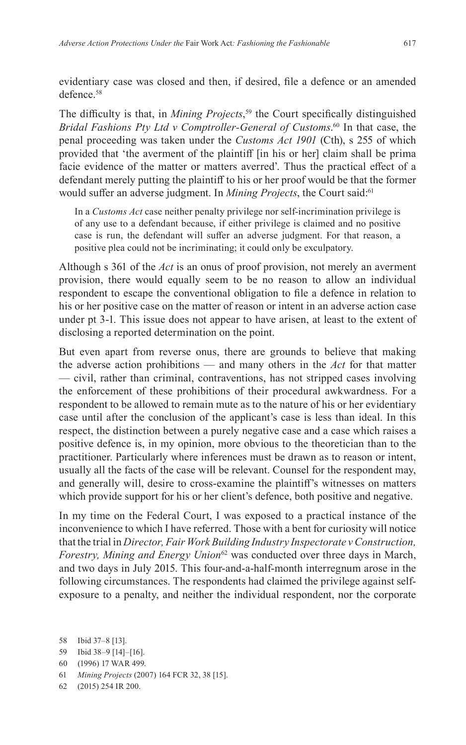evidentiary case was closed and then, if desired, file a defence or an amended defence.<sup>58</sup>

The difficulty is that, in *Mining Projects*, <sup>59</sup> the Court specifically distinguished *Bridal Fashions Pty Ltd v Comptroller-General of Customs*. 60 In that case, the penal proceeding was taken under the *Customs Act 1901* (Cth), s 255 of which provided that 'the averment of the plaintiff [in his or her] claim shall be prima facie evidence of the matter or matters averred'. Thus the practical effect of a defendant merely putting the plaintiff to his or her proof would be that the former would suffer an adverse judgment. In *Mining Projects*, the Court said:61

In a *Customs Act* case neither penalty privilege nor self-incrimination privilege is of any use to a defendant because, if either privilege is claimed and no positive case is run, the defendant will suffer an adverse judgment. For that reason, a positive plea could not be incriminating; it could only be exculpatory.

Although s 361 of the *Act* is an onus of proof provision, not merely an averment provision, there would equally seem to be no reason to allow an individual respondent to escape the conventional obligation to file a defence in relation to his or her positive case on the matter of reason or intent in an adverse action case under pt 3-1. This issue does not appear to have arisen, at least to the extent of disclosing a reported determination on the point.

But even apart from reverse onus, there are grounds to believe that making the adverse action prohibitions — and many others in the *Act* for that matter — civil, rather than criminal, contraventions, has not stripped cases involving the enforcement of these prohibitions of their procedural awkwardness. For a respondent to be allowed to remain mute as to the nature of his or her evidentiary case until after the conclusion of the applicant's case is less than ideal. In this respect, the distinction between a purely negative case and a case which raises a positive defence is, in my opinion, more obvious to the theoretician than to the practitioner. Particularly where inferences must be drawn as to reason or intent, usually all the facts of the case will be relevant. Counsel for the respondent may, and generally will, desire to cross-examine the plaintiff's witnesses on matters which provide support for his or her client's defence, both positive and negative.

In my time on the Federal Court, I was exposed to a practical instance of the inconvenience to which I have referred. Those with a bent for curiosity will notice that the trial in *Director, Fair Work Building Industry Inspectorate v Construction, Forestry, Mining and Energy Union*62 was conducted over three days in March, and two days in July 2015. This four-and-a-half-month interregnum arose in the following circumstances. The respondents had claimed the privilege against selfexposure to a penalty, and neither the individual respondent, nor the corporate

- 61 *Mining Projects* (2007) 164 FCR 32, 38 [15].
- 62 (2015) 254 IR 200.

<sup>58</sup> Ibid 37–8 [13].

<sup>59</sup> Ibid 38–9 [14]–[16].

<sup>60</sup> (1996) 17 WAR 499.